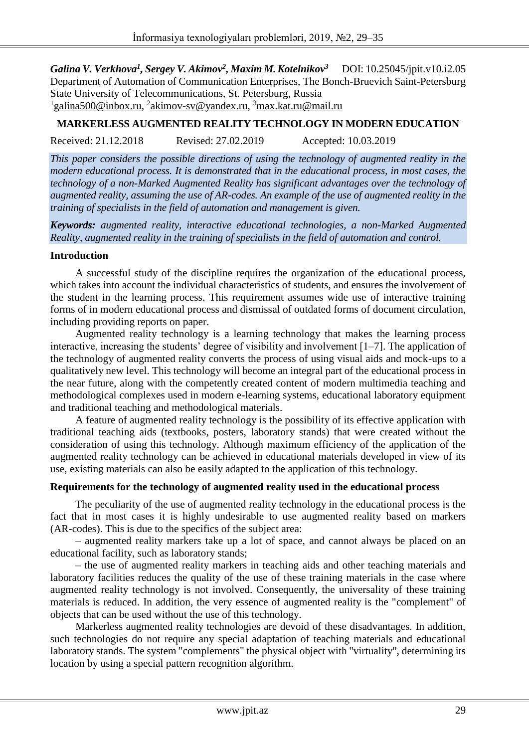*Galina V. Verkhova<sup>1</sup> , Sergey V. Akimov<sup>2</sup> , Maxim M.Kotelnikov<sup>3</sup>*DOI: 10.25045/jpit.v10.i2.05 Department of Automation of Communication Enterprises, The Bonch-Bruevich Saint-Petersburg State University of Telecommunications, St. Petersburg, Russia <sup>1</sup>galina500@inbox.ru, <sup>2</sup>akimov-sv@yandex.ru, <sup>3</sup>max.kat.ru@mail.ru

# **MARKERLESS AUGMENTED REALITY TECHNOLOGY IN MODERN EDUCATION**

Received: 21.12.2018 Revised: 27.02.2019 Accepted: 10.03.2019

*training of specialists in the field of automation and management is given.*

*This paper considers the possible directions of using the technology of augmented reality in the modern educational process. It is demonstrated that in the educational process, in most cases, the technology of a non-Marked Augmented Reality has significant advantages over the technology of augmented reality, assuming the use of AR-codes. An example of the use of augmented reality in the* 

*Keywords: augmented reality, interactive educational technologies, a non-Marked Augmented Reality, augmented reality in the training of specialists in the field of automation and control.*

#### **Introduction**

A successful study of the discipline requires the organization of the educational process, which takes into account the individual characteristics of students, and ensures the involvement of the student in the learning process. This requirement assumes wide use of interactive training forms of in modern educational process and dismissal of outdated forms of document circulation, including providing reports on paper.

Augmented reality technology is a learning technology that makes the learning process interactive, increasing the students' degree of visibility and involvement [1–7]. The application of the technology of augmented reality converts the process of using visual aids and mock-ups to a qualitatively new level. This technology will become an integral part of the educational process in the near future, along with the competently created content of modern multimedia teaching and methodological complexes used in modern e-learning systems, educational laboratory equipment and traditional teaching and methodological materials.

A feature of augmented reality technology is the possibility of its effective application with traditional teaching aids (textbooks, posters, laboratory stands) that were created without the consideration of using this technology. Although maximum efficiency of the application of the augmented reality technology can be achieved in educational materials developed in view of its use, existing materials can also be easily adapted to the application of this technology.

#### **Requirements for the technology of augmented reality used in the educational process**

The peculiarity of the use of augmented reality technology in the educational process is the fact that in most cases it is highly undesirable to use augmented reality based on markers (AR-codes). This is due to the specifics of the subject area:

– augmented reality markers take up a lot of space, and cannot always be placed on an educational facility, such as laboratory stands;

– the use of augmented reality markers in teaching aids and other teaching materials and laboratory facilities reduces the quality of the use of these training materials in the case where augmented reality technology is not involved. Consequently, the universality of these training materials is reduced. In addition, the very essence of augmented reality is the "complement" of objects that can be used without the use of this technology.

Markerless augmented reality technologies are devoid of these disadvantages. In addition, such technologies do not require any special adaptation of teaching materials and educational laboratory stands. The system "complements" the physical object with "virtuality", determining its location by using a special pattern recognition algorithm.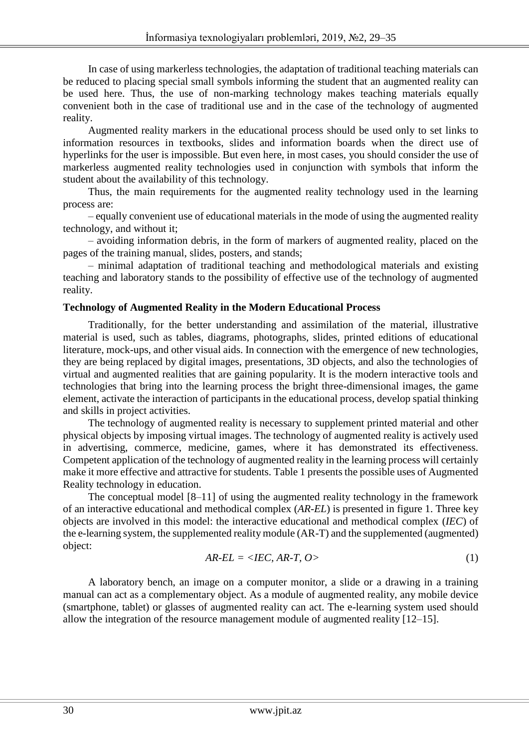In case of using markerless technologies, the adaptation of traditional teaching materials can be reduced to placing special small symbols informing the student that an augmented reality can be used here. Thus, the use of non-marking technology makes teaching materials equally convenient both in the case of traditional use and in the case of the technology of augmented reality.

Augmented reality markers in the educational process should be used only to set links to information resources in textbooks, slides and information boards when the direct use of hyperlinks for the user is impossible. But even here, in most cases, you should consider the use of markerless augmented reality technologies used in conjunction with symbols that inform the student about the availability of this technology.

Thus, the main requirements for the augmented reality technology used in the learning process are:

– equally convenient use of educational materials in the mode of using the augmented reality technology, and without it;

– avoiding information debris, in the form of markers of augmented reality, placed on the pages of the training manual, slides, posters, and stands;

– minimal adaptation of traditional teaching and methodological materials and existing teaching and laboratory stands to the possibility of effective use of the technology of augmented reality.

## **Technology of Augmented Reality in the Modern Educational Process**

Traditionally, for the better understanding and assimilation of the material, illustrative material is used, such as tables, diagrams, photographs, slides, printed editions of educational literature, mock-ups, and other visual aids. In connection with the emergence of new technologies, they are being replaced by digital images, presentations, 3D objects, and also the technologies of virtual and augmented realities that are gaining popularity. It is the modern interactive tools and technologies that bring into the learning process the bright three-dimensional images, the game element, activate the interaction of participants in the educational process, develop spatial thinking and skills in project activities.

The technology of augmented reality is necessary to supplement printed material and other physical objects by imposing virtual images. The technology of augmented reality is actively used in advertising, commerce, medicine, games, where it has demonstrated its effectiveness. Competent application of the technology of augmented reality in the learning process will certainly make it more effective and attractive for students. Table 1 presents the possible uses of Augmented Reality technology in education.

The conceptual model [8–11] of using the augmented reality technology in the framework of an interactive educational and methodical complex (*AR-EL*) is presented in figure 1. Three key objects are involved in this model: the interactive educational and methodical complex (*IEC*) of the e-learning system, the supplemented reality module (AR-T) and the supplemented (augmented) object:

$$
AR-EL = \langle IEC, AR-T, O \rangle \tag{1}
$$

A laboratory bench, an image on a computer monitor, a slide or a drawing in a training manual can act as a complementary object. As a module of augmented reality, any mobile device (smartphone, tablet) or glasses of augmented reality can act. The e-learning system used should allow the integration of the resource management module of augmented reality [12–15].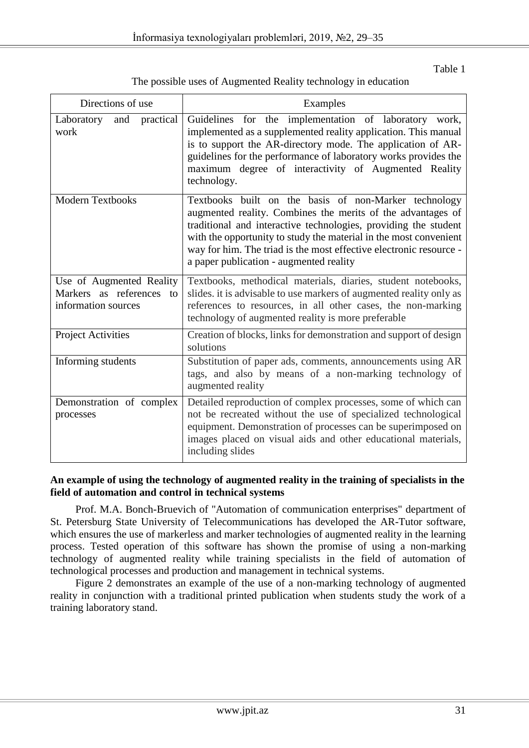Table 1

| Directions of use                                                           | Examples                                                                                                                                                                                                                                                                                                                                                                      |
|-----------------------------------------------------------------------------|-------------------------------------------------------------------------------------------------------------------------------------------------------------------------------------------------------------------------------------------------------------------------------------------------------------------------------------------------------------------------------|
| practical<br>Laboratory<br>and<br>work                                      | Guidelines for the implementation of laboratory work,<br>implemented as a supplemented reality application. This manual<br>is to support the AR-directory mode. The application of AR-<br>guidelines for the performance of laboratory works provides the<br>maximum degree of interactivity of Augmented Reality<br>technology.                                              |
| <b>Modern Textbooks</b>                                                     | Textbooks built on the basis of non-Marker technology<br>augmented reality. Combines the merits of the advantages of<br>traditional and interactive technologies, providing the student<br>with the opportunity to study the material in the most convenient<br>way for him. The triad is the most effective electronic resource -<br>a paper publication - augmented reality |
| Use of Augmented Reality<br>Markers as references to<br>information sources | Textbooks, methodical materials, diaries, student notebooks,<br>slides. it is advisable to use markers of augmented reality only as<br>references to resources, in all other cases, the non-marking<br>technology of augmented reality is more preferable                                                                                                                     |
| <b>Project Activities</b>                                                   | Creation of blocks, links for demonstration and support of design<br>solutions                                                                                                                                                                                                                                                                                                |
| Informing students                                                          | Substitution of paper ads, comments, announcements using AR<br>tags, and also by means of a non-marking technology of<br>augmented reality                                                                                                                                                                                                                                    |
| Demonstration of complex<br>processes                                       | Detailed reproduction of complex processes, some of which can<br>not be recreated without the use of specialized technological<br>equipment. Demonstration of processes can be superimposed on<br>images placed on visual aids and other educational materials,<br>including slides                                                                                           |

## **An example of using the technology of augmented reality in the training of specialists in the field of automation and control in technical systems**

Prof. M.A. Bonch-Bruevich of "Automation of communication enterprises" department of St. Petersburg State University of Telecommunications has developed the AR-Tutor software, which ensures the use of markerless and marker technologies of augmented reality in the learning process. Tested operation of this software has shown the promise of using a non-marking technology of augmented reality while training specialists in the field of automation of technological processes and production and management in technical systems.

Figure 2 demonstrates an example of the use of a non-marking technology of augmented reality in conjunction with a traditional printed publication when students study the work of a training laboratory stand.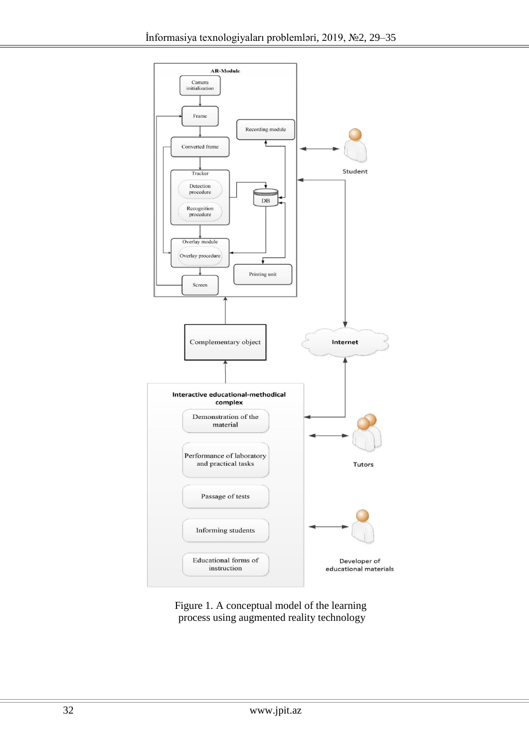

Figure 1. A conceptual model of the learning process using augmented reality technology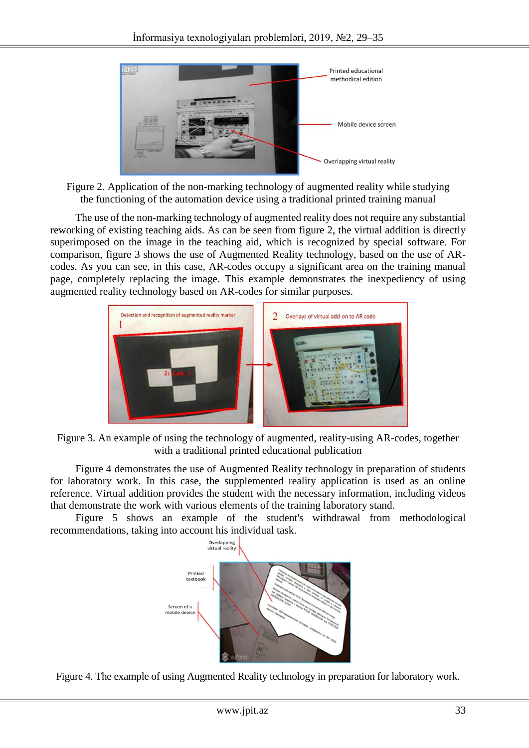

Figure 2. Application of the non-marking technology of augmented reality while studying the functioning of the automation device using a traditional printed training manual

The use of the non-marking technology of augmented reality does not require any substantial reworking of existing teaching aids. As can be seen from figure 2, the virtual addition is directly superimposed on the image in the teaching aid, which is recognized by special software. For comparison, figure 3 shows the use of Augmented Reality technology, based on the use of ARcodes. As you can see, in this case, AR-codes occupy a significant area on the training manual page, completely replacing the image. This example demonstrates the inexpediency of using augmented reality technology based on AR-codes for similar purposes.



Figure 3. An example of using the technology of augmented, reality-using AR-codes, together with a traditional printed educational publication

Figure 4 demonstrates the use of Augmented Reality technology in preparation of students for laboratory work. In this case, the supplemented reality application is used as an online reference. Virtual addition provides the student with the necessary information, including videos that demonstrate the work with various elements of the training laboratory stand.

Figure 5 shows an example of the student's withdrawal from methodological recommendations, taking into account his individual task.



Figure 4. The example of using Augmented Reality technology in preparation for laboratory work.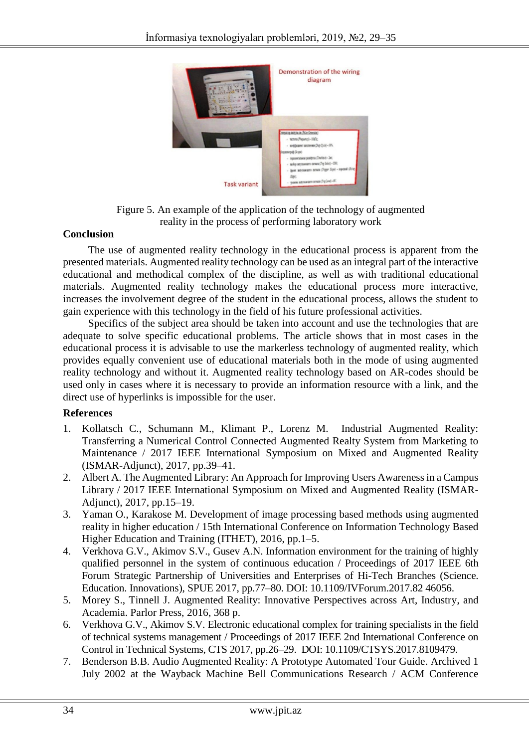

Figure 5. An example of the application of the technology of augmented reality in the process of performing laboratory work

## **Conclusion**

The use of augmented reality technology in the educational process is apparent from the presented materials. Augmented reality technology can be used as an integral part of the interactive educational and methodical complex of the discipline, as well as with traditional educational materials. Augmented reality technology makes the educational process more interactive, increases the involvement degree of the student in the educational process, allows the student to gain experience with this technology in the field of his future professional activities.

Specifics of the subject area should be taken into account and use the technologies that are adequate to solve specific educational problems. The article shows that in most cases in the educational process it is advisable to use the markerless technology of augmented reality, which provides equally convenient use of educational materials both in the mode of using augmented reality technology and without it. Augmented reality technology based on AR-codes should be used only in cases where it is necessary to provide an information resource with a link, and the direct use of hyperlinks is impossible for the user.

# **References**

- 1. Kollatsch C., Schumann M., Klimant P., Lorenz M. Industrial Augmented Reality: Transferring a Numerical Control Connected Augmented Realty System from Marketing to Maintenance / 2017 IEEE International Symposium on Mixed and Augmented Reality (ISMAR-Adjunct), 2017, pp.39–41.
- 2. Albert A. The Augmented Library: An Approach for Improving Users Awareness in a Campus Library / 2017 IEEE International Symposium on Mixed and Augmented Reality (ISMAR-Adjunct), 2017, pp.15–19.
- 3. Yaman O., Karakose M. Development of image processing based methods using augmented reality in higher education / 15th International Conference on Information Technology Based Higher Education and Training (ITHET), 2016, pp.1–5.
- 4. Verkhova G.V., Akimov S.V., Gusev A.N. Information environment for the training of highly qualified personnel in the system of continuous education / Proceedings of 2017 IEEE 6th Forum Strategic Partnership of Universities and Enterprises of Hi-Tech Branches (Science. Education. Innovations), SPUE 2017, pp.77–80. DOI: 10.1109/IVForum.2017.82 46056.
- 5. Morey S., Tinnell J. Augmented Reality: Innovative Perspectives across Art, Industry, and Academia. Parlor Press, 2016, 368 p.
- 6. Verkhova G.V., Akimov S.V. Electronic educational complex for training specialists in the field of technical systems management / Proceedings of 2017 IEEE 2nd International Conference on Control in Technical Systems, CTS 2017, pp.26–29. DOI: 10.1109/CTSYS.2017.8109479.
- 7. Benderson B.B. Audio Augmented Reality: A Prototype Automated Tour Guide. Archived 1 July 2002 at the Wayback Machine Bell Communications Research / ACM Conference